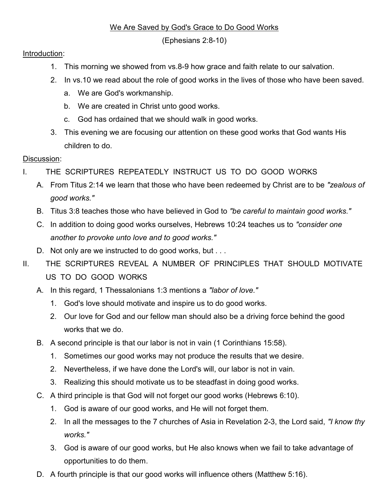## We Are Saved by God's Grace to Do Good Works

(Ephesians 2:8-10)

## Introduction:

- 1. This morning we showed from vs.8-9 how grace and faith relate to our salvation.
- 2. In vs.10 we read about the role of good works in the lives of those who have been saved.
	- a. We are God's workmanship.
	- b. We are created in Christ unto good works.
	- c. God has ordained that we should walk in good works.
- 3. This evening we are focusing our attention on these good works that God wants His children to do.

## Discussion:

- I. THE SCRIPTURES REPEATEDLY INSTRUCT US TO DO GOOD WORKS
	- A. From Titus 2:14 we learn that those who have been redeemed by Christ are to be "zealous of good works."
	- B. Titus 3:8 teaches those who have believed in God to "be careful to maintain good works."
	- C. In addition to doing good works ourselves, Hebrews 10:24 teaches us to "consider one another to provoke unto love and to good works."
	- D. Not only are we instructed to do good works, but . . .
- II. THE SCRIPTURES REVEAL A NUMBER OF PRINCIPLES THAT SHOULD MOTIVATE US TO DO GOOD WORKS
	- A. In this regard, 1 Thessalonians 1:3 mentions a "labor of love."
		- 1. God's love should motivate and inspire us to do good works.
		- 2. Our love for God and our fellow man should also be a driving force behind the good works that we do.
	- B. A second principle is that our labor is not in vain (1 Corinthians 15:58).
		- 1. Sometimes our good works may not produce the results that we desire.
		- 2. Nevertheless, if we have done the Lord's will, our labor is not in vain.
		- 3. Realizing this should motivate us to be steadfast in doing good works.
	- C. A third principle is that God will not forget our good works (Hebrews 6:10).
		- 1. God is aware of our good works, and He will not forget them.
		- 2. In all the messages to the 7 churches of Asia in Revelation 2-3, the Lord said, "I know thy works."
		- 3. God is aware of our good works, but He also knows when we fail to take advantage of opportunities to do them.
	- D. A fourth principle is that our good works will influence others (Matthew 5:16).